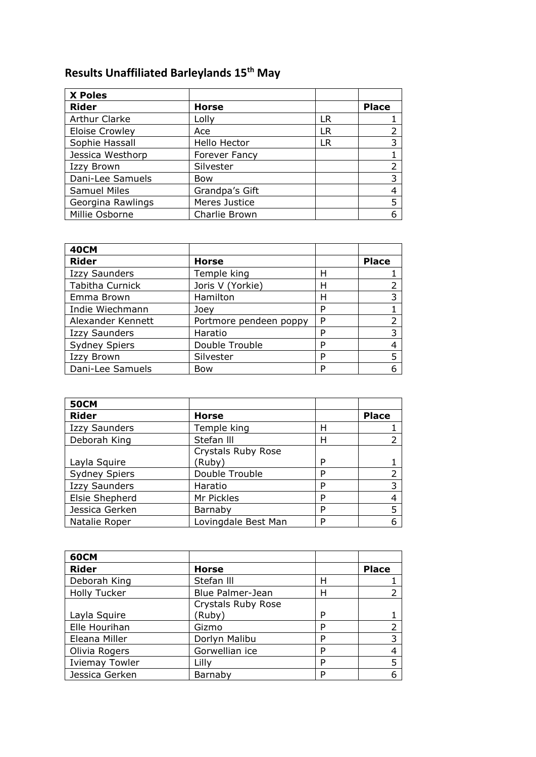## **Results Unaffiliated Barleylands 15th May**

| <b>X Poles</b>        |                |    |              |
|-----------------------|----------------|----|--------------|
| <b>Rider</b>          | <b>Horse</b>   |    | <b>Place</b> |
| <b>Arthur Clarke</b>  | Lolly          | LR |              |
| <b>Eloise Crowley</b> | Ace            | LR |              |
| Sophie Hassall        | Hello Hector   | LR |              |
| Jessica Westhorp      | Forever Fancy  |    |              |
| <b>Izzy Brown</b>     | Silvester      |    | 2            |
| Dani-Lee Samuels      | Bow            |    | 3            |
| <b>Samuel Miles</b>   | Grandpa's Gift |    |              |
| Georgina Rawlings     | Meres Justice  |    | 5            |
| Millie Osborne        | Charlie Brown  |    |              |

| <b>40CM</b>          |                        |   |              |
|----------------------|------------------------|---|--------------|
| <b>Rider</b>         | <b>Horse</b>           |   | <b>Place</b> |
| <b>Izzy Saunders</b> | Temple king            | н |              |
| Tabitha Curnick      | Joris V (Yorkie)       | Н |              |
| Emma Brown           | Hamilton               | н | 3            |
| Indie Wiechmann      | Joey                   | P |              |
| Alexander Kennett    | Portmore pendeen poppy | P |              |
| <b>Izzy Saunders</b> | Haratio                | P | 3            |
| <b>Sydney Spiers</b> | Double Trouble         | P |              |
| Izzy Brown           | Silvester              | P | 5            |
| Dani-Lee Samuels     | Bow                    | D |              |

| <b>50CM</b>          |                             |   |              |
|----------------------|-----------------------------|---|--------------|
| <b>Rider</b>         | <b>Horse</b>                |   | <b>Place</b> |
| <b>Izzy Saunders</b> | Temple king                 | Н |              |
| Deborah King         | Stefan III                  | н |              |
| Layla Squire         | Crystals Ruby Rose<br>(Ruby | P |              |
| <b>Sydney Spiers</b> | Double Trouble              | P | 2            |
| <b>Izzy Saunders</b> | Haratio                     | P | 3            |
| Elsie Shepherd       | Mr Pickles                  | P | 4            |
| Jessica Gerken       | Barnaby                     | P | 5            |
| Natalie Roper        | Lovingdale Best Man         | P |              |

| <b>60CM</b>           |                    |   |              |
|-----------------------|--------------------|---|--------------|
| <b>Rider</b>          | <b>Horse</b>       |   | <b>Place</b> |
| Deborah King          | Stefan III         | н |              |
| <b>Holly Tucker</b>   | Blue Palmer-Jean   | н |              |
|                       | Crystals Ruby Rose |   |              |
| Layla Squire          | (Ruby)             | P |              |
| Elle Hourihan         | Gizmo              | D |              |
| Eleana Miller         | Dorlyn Malibu      | D | 3            |
| Olivia Rogers         | Gorwellian ice     | D |              |
| <b>Iviemay Towler</b> | Lilly              | P |              |
| Jessica Gerken        | Barnaby            | ח |              |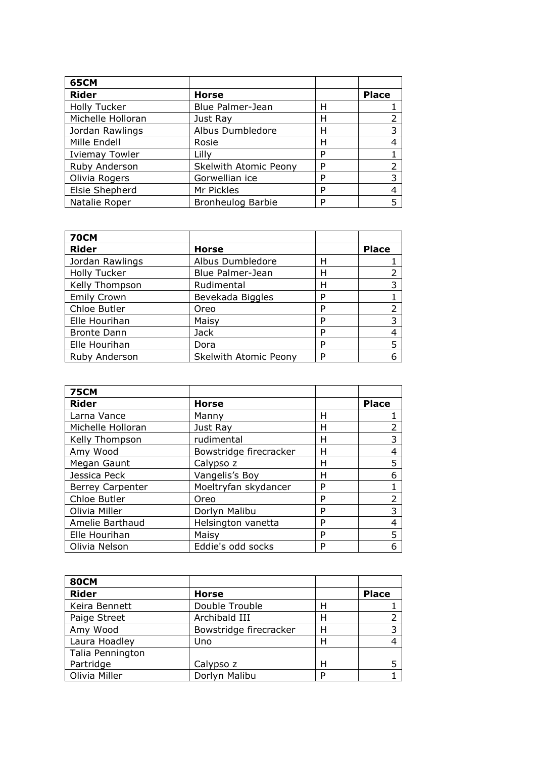| <b>65CM</b>           |                              |   |              |
|-----------------------|------------------------------|---|--------------|
| <b>Rider</b>          | <b>Horse</b>                 |   | <b>Place</b> |
| <b>Holly Tucker</b>   | Blue Palmer-Jean             | н |              |
| Michelle Holloran     | Just Ray                     | н |              |
| Jordan Rawlings       | Albus Dumbledore             | н |              |
| Mille Endell          | Rosie                        | н |              |
| <b>Iviemay Towler</b> | Lilly                        | D |              |
| Ruby Anderson         | <b>Skelwith Atomic Peony</b> | D |              |
| Olivia Rogers         | Gorwellian ice               | D |              |
| Elsie Shepherd        | Mr Pickles                   | D |              |
| Natalie Roper         | <b>Bronheulog Barbie</b>     | D |              |

| <b>70CM</b>         |                       |   |              |
|---------------------|-----------------------|---|--------------|
| <b>Rider</b>        | <b>Horse</b>          |   | <b>Place</b> |
| Jordan Rawlings     | Albus Dumbledore      | Н |              |
| <b>Holly Tucker</b> | Blue Palmer-Jean      | н |              |
| Kelly Thompson      | Rudimental            | н | 3            |
| <b>Emily Crown</b>  | Bevekada Biggles      | P |              |
| Chloe Butler        | Oreo                  | P |              |
| Elle Hourihan       | Maisy                 | P | 3            |
| <b>Bronte Dann</b>  | Jack                  | P |              |
| Elle Hourihan       | Dora                  | P |              |
| Ruby Anderson       | Skelwith Atomic Peony | P |              |

| <b>75CM</b>             |                        |   |              |
|-------------------------|------------------------|---|--------------|
| <b>Rider</b>            | <b>Horse</b>           |   | <b>Place</b> |
| Larna Vance             | Manny                  | н |              |
| Michelle Holloran       | Just Ray               | н |              |
| Kelly Thompson          | rudimental             | н | 3            |
| Amy Wood                | Bowstridge firecracker | н | 4            |
| Megan Gaunt             | Calypso z              | Н | 5            |
| Jessica Peck            | Vangelis's Boy         | Н | 6            |
| <b>Berrey Carpenter</b> | Moeltryfan skydancer   | P |              |
| Chloe Butler            | Oreo                   | P |              |
| Olivia Miller           | Dorlyn Malibu          | P | 3            |
| Amelie Barthaud         | Helsington vanetta     | P |              |
| Elle Hourihan           | Maisy                  | P | 5            |
| Olivia Nelson           | Eddie's odd socks      | P | 6            |

| <b>80CM</b>      |                        |   |              |
|------------------|------------------------|---|--------------|
| <b>Rider</b>     | <b>Horse</b>           |   | <b>Place</b> |
| Keira Bennett    | Double Trouble         | Н |              |
| Paige Street     | Archibald III          | Н |              |
| Amy Wood         | Bowstridge firecracker | н |              |
| Laura Hoadley    | Uno                    | Н |              |
| Talia Pennington |                        |   |              |
| Partridge        | Calypso z              | н |              |
| Olivia Miller    | Dorlyn Malibu          |   |              |